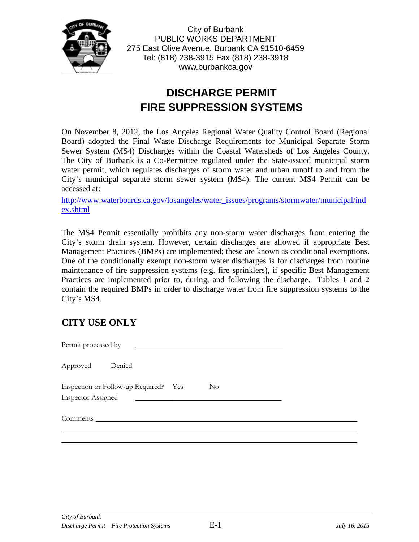

City of Burbank PUBLIC WORKS DEPARTMENT 275 East Olive Avenue, Burbank CA 91510-6459 Tel: (818) 238-3915 Fax (818) 238-3918 www.burbankca.gov

# **DISCHARGE PERMIT FIRE SUPPRESSION SYSTEMS**

On November 8, 2012, the Los Angeles Regional Water Quality Control Board (Regional Board) adopted the Final Waste Discharge Requirements for Municipal Separate Storm Sewer System (MS4) Discharges within the Coastal Watersheds of Los Angeles County. The City of Burbank is a Co-Permittee regulated under the State-issued municipal storm water permit, which regulates discharges of storm water and urban runoff to and from the City's municipal separate storm sewer system (MS4). The current MS4 Permit can be accessed at:

[http://www.waterboards.ca.gov/losangeles/water\\_issues/programs/stormwater/municipal/ind](http://www.waterboards.ca.gov/losangeles/water_issues/programs/stormwater/municipal/index.shtml) [ex.shtml](http://www.waterboards.ca.gov/losangeles/water_issues/programs/stormwater/municipal/index.shtml)

The MS4 Permit essentially prohibits any non-storm water discharges from entering the City's storm drain system. However, certain discharges are allowed if appropriate Best Management Practices (BMPs) are implemented; these are known as conditional exemptions. One of the conditionally exempt non-storm water discharges is for discharges from routine maintenance of fire suppression systems (e.g. fire sprinklers), if specific Best Management Practices are implemented prior to, during, and following the discharge. Tables 1 and 2 contain the required BMPs in order to discharge water from fire suppression systems to the City's MS4.

## **CITY USE ONLY**

Permit processed by Approved Denied Inspection or Follow-up Required? Yes No Inspector Assigned Comments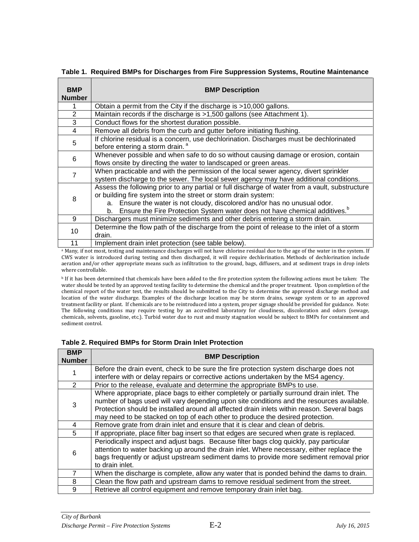| <b>BMP</b><br><b>Number</b> | <b>BMP Description</b>                                                                                                                                                                                                                                                                                                                            |  |
|-----------------------------|---------------------------------------------------------------------------------------------------------------------------------------------------------------------------------------------------------------------------------------------------------------------------------------------------------------------------------------------------|--|
|                             | Obtain a permit from the City if the discharge is >10,000 gallons.                                                                                                                                                                                                                                                                                |  |
| $\overline{2}$              | Maintain records if the discharge is >1,500 gallons (see Attachment 1).                                                                                                                                                                                                                                                                           |  |
| 3                           | Conduct flows for the shortest duration possible.                                                                                                                                                                                                                                                                                                 |  |
| 4                           | Remove all debris from the curb and gutter before initiating flushing.                                                                                                                                                                                                                                                                            |  |
| 5                           | If chlorine residual is a concern, use dechlorination. Discharges must be dechlorinated<br>before entering a storm drain. <sup>a</sup>                                                                                                                                                                                                            |  |
| 6                           | Whenever possible and when safe to do so without causing damage or erosion, contain<br>flows onsite by directing the water to landscaped or green areas.                                                                                                                                                                                          |  |
|                             | When practicable and with the permission of the local sewer agency, divert sprinkler<br>system discharge to the sewer. The local sewer agency may have additional conditions.                                                                                                                                                                     |  |
| 8                           | Assess the following prior to any partial or full discharge of water from a vault, substructure<br>or building fire system into the street or storm drain system:<br>Ensure the water is not cloudy, discolored and/or has no unusual odor.<br>а.<br>Ensure the Fire Protection System water does not have chemical additives. <sup>b</sup><br>b. |  |
| 9                           | Dischargers must minimize sediments and other debris entering a storm drain.                                                                                                                                                                                                                                                                      |  |
| 10                          | Determine the flow path of the discharge from the point of release to the inlet of a storm<br>drain.                                                                                                                                                                                                                                              |  |
| 11                          | Implement drain inlet protection (see table below).                                                                                                                                                                                                                                                                                               |  |

**Table 1. Required BMPs for Discharges from Fire Suppression Systems, Routine Maintenance** 

a Many, if not most, testing and maintenance discharges will not have chlorine residual due to the age of the water in the system. If CWS water is introduced during testing and then discharged, it will require dechlorination. Methods of dechlorination include aeration and/or other appropriate means such as infiltration to the ground, bags, diffusers, and at sediment traps in drop inlets where controllable.

**b** If it has been determined that chemicals have been added to the fire protection system the following actions must be taken: The water should be tested by an approved testing facility to determine the chemical and the proper treatment. Upon completion of the chemical report of the water test, the results should be submitted to the City to determine the approved discharge method and location of the water discharge. Examples of the discharge location may be storm drains, sewage system or to an approved treatment facility or plant. If chemicals are to be reintroduced into a system, proper signage should be provided for guidance. Note: The following conditions may require testing by an accredited laboratory for cloudiness, discoloration and odors (sewage, chemicals, solvents, gasoline, etc.). Turbid water due to rust and musty stagnation would be subject to BMPs for containment and sediment control.

**Table 2. Required BMPs for Storm Drain Inlet Protection**

| <b>BMP</b><br><b>Number</b> | <b>BMP Description</b>                                                                                                                                                                                                                                                                                                                                                  |
|-----------------------------|-------------------------------------------------------------------------------------------------------------------------------------------------------------------------------------------------------------------------------------------------------------------------------------------------------------------------------------------------------------------------|
|                             | Before the drain event, check to be sure the fire protection system discharge does not<br>interfere with or delay repairs or corrective actions undertaken by the MS4 agency.                                                                                                                                                                                           |
| $\mathcal{P}$               | Prior to the release, evaluate and determine the appropriate BMPs to use.                                                                                                                                                                                                                                                                                               |
| 3                           | Where appropriate, place bags to either completely or partially surround drain inlet. The<br>number of bags used will vary depending upon site conditions and the resources available.<br>Protection should be installed around all affected drain inlets within reason. Several bags<br>may need to be stacked on top of each other to produce the desired protection. |
| 4                           | Remove grate from drain inlet and ensure that it is clear and clean of debris.                                                                                                                                                                                                                                                                                          |
| 5                           | If appropriate, place filter bag insert so that edges are secured when grate is replaced.                                                                                                                                                                                                                                                                               |
| 6                           | Periodically inspect and adjust bags. Because filter bags clog quickly, pay particular<br>attention to water backing up around the drain inlet. Where necessary, either replace the<br>bags frequently or adjust upstream sediment dams to provide more sediment removal prior<br>to drain inlet.                                                                       |
|                             | When the discharge is complete, allow any water that is ponded behind the dams to drain.                                                                                                                                                                                                                                                                                |
| 8                           | Clean the flow path and upstream dams to remove residual sediment from the street.                                                                                                                                                                                                                                                                                      |
| 9                           | Retrieve all control equipment and remove temporary drain inlet bag.                                                                                                                                                                                                                                                                                                    |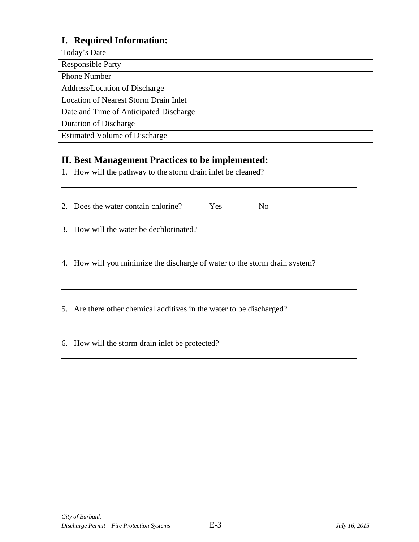## **I. Required Information:**

| Today's Date                                 |  |
|----------------------------------------------|--|
| <b>Responsible Party</b>                     |  |
| <b>Phone Number</b>                          |  |
| Address/Location of Discharge                |  |
| <b>Location of Nearest Storm Drain Inlet</b> |  |
| Date and Time of Anticipated Discharge       |  |
| <b>Duration of Discharge</b>                 |  |
| <b>Estimated Volume of Discharge</b>         |  |

## **II. Best Management Practices to be implemented:**

1. How will the pathway to the storm drain inlet be cleaned?

| 2. Does the water contain chlorine? | <b>Yes</b> | Nο |
|-------------------------------------|------------|----|
|                                     |            |    |

3. How will the water be dechlorinated?

4. How will you minimize the discharge of water to the storm drain system?

5. Are there other chemical additives in the water to be discharged?

6. How will the storm drain inlet be protected?